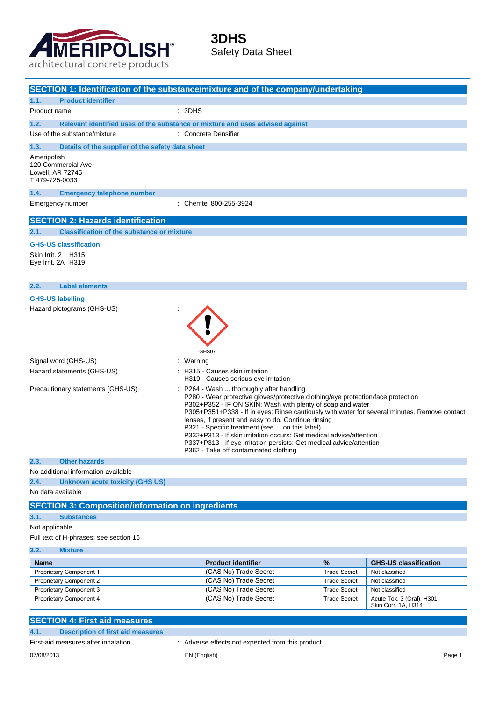

j.

### **3DHS** Safety Data Sheet

|                                                                        | SECTION 1: Identification of the substance/mixture and of the company/undertaking                                                                                                                                                                                                                                                                                                                                                                                                                                                                                                         |  |  |
|------------------------------------------------------------------------|-------------------------------------------------------------------------------------------------------------------------------------------------------------------------------------------------------------------------------------------------------------------------------------------------------------------------------------------------------------------------------------------------------------------------------------------------------------------------------------------------------------------------------------------------------------------------------------------|--|--|
| <b>Product identifier</b><br>1.1.                                      |                                                                                                                                                                                                                                                                                                                                                                                                                                                                                                                                                                                           |  |  |
| Product name.                                                          | : 3DHS                                                                                                                                                                                                                                                                                                                                                                                                                                                                                                                                                                                    |  |  |
|                                                                        |                                                                                                                                                                                                                                                                                                                                                                                                                                                                                                                                                                                           |  |  |
| 1.2.<br>Use of the substance/mixture                                   | Relevant identified uses of the substance or mixture and uses advised against<br>: Concrete Densifier                                                                                                                                                                                                                                                                                                                                                                                                                                                                                     |  |  |
|                                                                        |                                                                                                                                                                                                                                                                                                                                                                                                                                                                                                                                                                                           |  |  |
| 1.3.                                                                   | Details of the supplier of the safety data sheet                                                                                                                                                                                                                                                                                                                                                                                                                                                                                                                                          |  |  |
| Ameripolish<br>120 Commercial Ave<br>Lowell, AR 72745<br>T479-725-0033 |                                                                                                                                                                                                                                                                                                                                                                                                                                                                                                                                                                                           |  |  |
| 1.4.                                                                   | <b>Emergency telephone number</b>                                                                                                                                                                                                                                                                                                                                                                                                                                                                                                                                                         |  |  |
| Emergency number                                                       | : Chemtel 800-255-3924                                                                                                                                                                                                                                                                                                                                                                                                                                                                                                                                                                    |  |  |
| <b>SECTION 2: Hazards identification</b>                               |                                                                                                                                                                                                                                                                                                                                                                                                                                                                                                                                                                                           |  |  |
| 2.1.                                                                   | <b>Classification of the substance or mixture</b>                                                                                                                                                                                                                                                                                                                                                                                                                                                                                                                                         |  |  |
| <b>GHS-US classification</b>                                           |                                                                                                                                                                                                                                                                                                                                                                                                                                                                                                                                                                                           |  |  |
| Skin Irrit. 2 H315<br>Eye Irrit. 2A H319                               |                                                                                                                                                                                                                                                                                                                                                                                                                                                                                                                                                                                           |  |  |
| <b>Label elements</b><br>2.2.                                          |                                                                                                                                                                                                                                                                                                                                                                                                                                                                                                                                                                                           |  |  |
| <b>GHS-US labelling</b>                                                |                                                                                                                                                                                                                                                                                                                                                                                                                                                                                                                                                                                           |  |  |
| Hazard pictograms (GHS-US)                                             | GHS07                                                                                                                                                                                                                                                                                                                                                                                                                                                                                                                                                                                     |  |  |
| Signal word (GHS-US)                                                   | Warning                                                                                                                                                                                                                                                                                                                                                                                                                                                                                                                                                                                   |  |  |
| Hazard statements (GHS-US)                                             | H315 - Causes skin irritation<br>H319 - Causes serious eye irritation                                                                                                                                                                                                                                                                                                                                                                                                                                                                                                                     |  |  |
| Precautionary statements (GHS-US)                                      | P264 - Wash  thoroughly after handling<br>P280 - Wear protective gloves/protective clothing/eye protection/face protection<br>P302+P352 - IF ON SKIN: Wash with plenty of soap and water<br>P305+P351+P338 - If in eyes: Rinse cautiously with water for several minutes. Remove contact<br>lenses, if present and easy to do. Continue rinsing<br>P321 - Specific treatment (see  on this label)<br>P332+P313 - If skin irritation occurs: Get medical advice/attention<br>P337+P313 - If eye irritation persists: Get medical advice/attention<br>P362 - Take off contaminated clothing |  |  |
| <b>Other hazards</b><br>2.3.                                           |                                                                                                                                                                                                                                                                                                                                                                                                                                                                                                                                                                                           |  |  |
| No additional information available                                    |                                                                                                                                                                                                                                                                                                                                                                                                                                                                                                                                                                                           |  |  |
| 2.4.                                                                   | <b>Unknown acute toxicity (GHS US)</b>                                                                                                                                                                                                                                                                                                                                                                                                                                                                                                                                                    |  |  |
| No data available                                                      |                                                                                                                                                                                                                                                                                                                                                                                                                                                                                                                                                                                           |  |  |
|                                                                        | <b>SECTION 3: Composition/information on ingredients</b>                                                                                                                                                                                                                                                                                                                                                                                                                                                                                                                                  |  |  |
| 3.1.<br><b>Substances</b>                                              |                                                                                                                                                                                                                                                                                                                                                                                                                                                                                                                                                                                           |  |  |
| Not applicable                                                         |                                                                                                                                                                                                                                                                                                                                                                                                                                                                                                                                                                                           |  |  |
| Full text of H-phrases: see section 16                                 |                                                                                                                                                                                                                                                                                                                                                                                                                                                                                                                                                                                           |  |  |

**3.2. Mixture**

| <b>Name</b>                    | <b>Product identifier</b> | $\frac{9}{6}$       | <b>GHS-US classification</b>                     |
|--------------------------------|---------------------------|---------------------|--------------------------------------------------|
| <b>Proprietary Component 1</b> | (CAS No) Trade Secret     | <b>Trade Secret</b> | Not classified                                   |
| <b>Proprietary Component 2</b> | (CAS No) Trade Secret     | <b>Trade Secret</b> | Not classified                                   |
| <b>Proprietary Component 3</b> | (CAS No) Trade Secret     | <b>Trade Secret</b> | Not classified                                   |
| Proprietary Component 4        | (CAS No) Trade Secret     | <b>Trade Secret</b> | Acute Tox. 3 (Oral), H301<br>Skin Corr. 1A. H314 |

| <b>SECTION 4: First aid measures</b> |                                          |                                                   |        |
|--------------------------------------|------------------------------------------|---------------------------------------------------|--------|
| 4.1.                                 | <b>Description of first aid measures</b> |                                                   |        |
|                                      | First-aid measures after inhalation      | : Adverse effects not expected from this product. |        |
| 07/08/2013                           |                                          | EN (English)                                      | Page ' |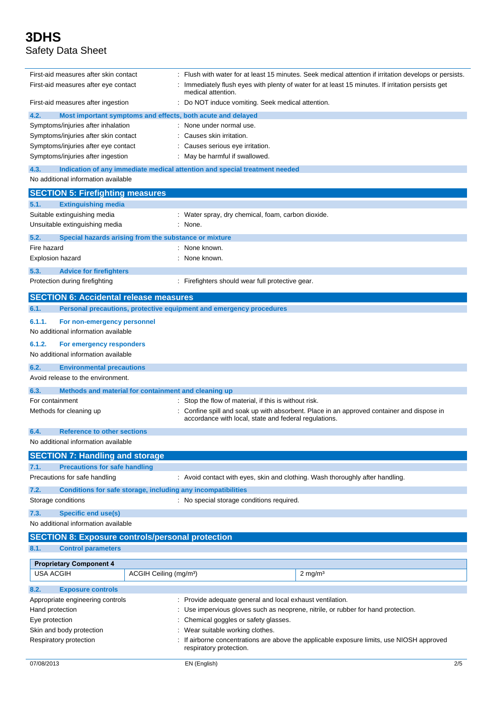| First-aid measures after skin contact                                                                                                        |                                                                   |                                                                                                                       | Flush with water for at least 15 minutes. Seek medical attention if irritation develops or persists. |
|----------------------------------------------------------------------------------------------------------------------------------------------|-------------------------------------------------------------------|-----------------------------------------------------------------------------------------------------------------------|------------------------------------------------------------------------------------------------------|
| First-aid measures after eye contact                                                                                                         |                                                                   | Immediately flush eyes with plenty of water for at least 15 minutes. If irritation persists get<br>medical attention. |                                                                                                      |
| First-aid measures after ingestion                                                                                                           |                                                                   | Do NOT induce vomiting. Seek medical attention.                                                                       |                                                                                                      |
| 4.2.                                                                                                                                         |                                                                   | Most important symptoms and effects, both acute and delayed                                                           |                                                                                                      |
| Symptoms/injuries after inhalation                                                                                                           |                                                                   | None under normal use.                                                                                                |                                                                                                      |
| Symptoms/injuries after skin contact                                                                                                         |                                                                   | Causes skin irritation.                                                                                               |                                                                                                      |
| Symptoms/injuries after eye contact                                                                                                          |                                                                   | Causes serious eye irritation.                                                                                        |                                                                                                      |
|                                                                                                                                              | Symptoms/injuries after ingestion<br>May be harmful if swallowed. |                                                                                                                       |                                                                                                      |
| 4.3.<br>No additional information available                                                                                                  |                                                                   | Indication of any immediate medical attention and special treatment needed                                            |                                                                                                      |
| <b>SECTION 5: Firefighting measures</b>                                                                                                      |                                                                   |                                                                                                                       |                                                                                                      |
| <b>Extinguishing media</b><br>5.1.                                                                                                           |                                                                   |                                                                                                                       |                                                                                                      |
| Suitable extinguishing media                                                                                                                 |                                                                   | Water spray, dry chemical, foam, carbon dioxide.                                                                      |                                                                                                      |
| Unsuitable extinguishing media                                                                                                               |                                                                   | None.                                                                                                                 |                                                                                                      |
|                                                                                                                                              |                                                                   |                                                                                                                       |                                                                                                      |
| 5.2.<br>Special hazards arising from the substance or mixture                                                                                |                                                                   |                                                                                                                       |                                                                                                      |
| Fire hazard                                                                                                                                  |                                                                   | None known.                                                                                                           |                                                                                                      |
| Explosion hazard                                                                                                                             |                                                                   | None known.                                                                                                           |                                                                                                      |
| 5.3.<br><b>Advice for firefighters</b>                                                                                                       |                                                                   |                                                                                                                       |                                                                                                      |
| Protection during firefighting                                                                                                               |                                                                   | Firefighters should wear full protective gear.                                                                        |                                                                                                      |
| <b>SECTION 6: Accidental release measures</b>                                                                                                |                                                                   |                                                                                                                       |                                                                                                      |
| 6.1.                                                                                                                                         |                                                                   | Personal precautions, protective equipment and emergency procedures                                                   |                                                                                                      |
| 6.1.1.<br>For non-emergency personnel                                                                                                        |                                                                   |                                                                                                                       |                                                                                                      |
| No additional information available                                                                                                          |                                                                   |                                                                                                                       |                                                                                                      |
| 6.1.2.<br>For emergency responders                                                                                                           |                                                                   |                                                                                                                       |                                                                                                      |
| No additional information available                                                                                                          |                                                                   |                                                                                                                       |                                                                                                      |
| <b>Environmental precautions</b><br>6.2.                                                                                                     |                                                                   |                                                                                                                       |                                                                                                      |
| Avoid release to the environment.                                                                                                            |                                                                   |                                                                                                                       |                                                                                                      |
| Methods and material for containment and cleaning up<br>6.3.                                                                                 |                                                                   |                                                                                                                       |                                                                                                      |
| For containment                                                                                                                              |                                                                   | Stop the flow of material, if this is without risk.                                                                   |                                                                                                      |
| Methods for cleaning up                                                                                                                      |                                                                   | accordance with local, state and federal regulations.                                                                 | Confine spill and soak up with absorbent. Place in an approved container and dispose in              |
| <b>Reference to other sections</b><br>6.4.                                                                                                   |                                                                   |                                                                                                                       |                                                                                                      |
| No additional information available                                                                                                          |                                                                   |                                                                                                                       |                                                                                                      |
| <b>SECTION 7: Handling and storage</b>                                                                                                       |                                                                   |                                                                                                                       |                                                                                                      |
| <b>Precautions for safe handling</b><br>7.1.                                                                                                 |                                                                   |                                                                                                                       |                                                                                                      |
| Precautions for safe handling                                                                                                                |                                                                   | : Avoid contact with eyes, skin and clothing. Wash thoroughly after handling.                                         |                                                                                                      |
|                                                                                                                                              |                                                                   |                                                                                                                       |                                                                                                      |
| 7.2.                                                                                                                                         |                                                                   | Conditions for safe storage, including any incompatibilities                                                          |                                                                                                      |
| Storage conditions                                                                                                                           |                                                                   | : No special storage conditions required.                                                                             |                                                                                                      |
| 7.3.<br><b>Specific end use(s)</b>                                                                                                           |                                                                   |                                                                                                                       |                                                                                                      |
| No additional information available                                                                                                          |                                                                   |                                                                                                                       |                                                                                                      |
| <b>SECTION 8: Exposure controls/personal protection</b>                                                                                      |                                                                   |                                                                                                                       |                                                                                                      |
| 8.1.<br><b>Control parameters</b>                                                                                                            |                                                                   |                                                                                                                       |                                                                                                      |
| <b>Proprietary Component 4</b>                                                                                                               |                                                                   |                                                                                                                       |                                                                                                      |
| <b>USA ACGIH</b>                                                                                                                             | ACGIH Ceiling (mg/m <sup>3</sup> )                                |                                                                                                                       | $2 \text{ mg/m}^3$                                                                                   |
|                                                                                                                                              |                                                                   |                                                                                                                       |                                                                                                      |
| 8.2.<br><b>Exposure controls</b>                                                                                                             |                                                                   |                                                                                                                       |                                                                                                      |
| Appropriate engineering controls                                                                                                             |                                                                   | Provide adequate general and local exhaust ventilation.                                                               |                                                                                                      |
| Hand protection<br>Use impervious gloves such as neoprene, nitrile, or rubber for hand protection.                                           |                                                                   |                                                                                                                       |                                                                                                      |
| Chemical goggles or safety glasses.<br>Eye protection                                                                                        |                                                                   |                                                                                                                       |                                                                                                      |
| Skin and body protection                                                                                                                     | Wear suitable working clothes.                                    |                                                                                                                       |                                                                                                      |
| Respiratory protection<br>If airborne concentrations are above the applicable exposure limits, use NIOSH approved<br>respiratory protection. |                                                                   |                                                                                                                       |                                                                                                      |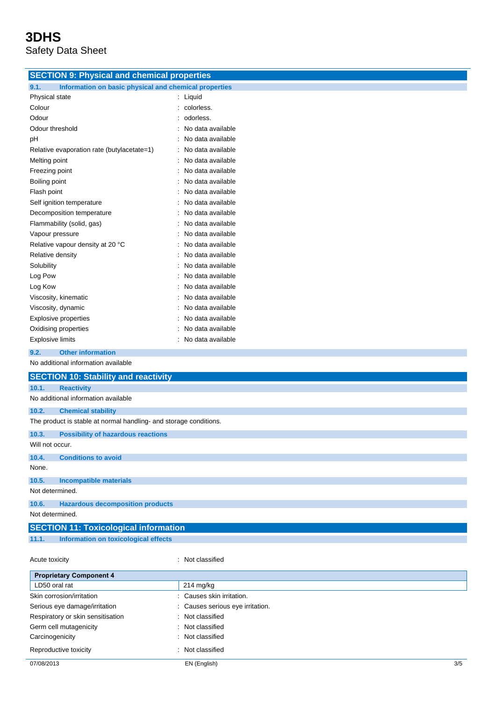| <b>SECTION 9: Physical and chemical properties</b>                |                   |  |  |
|-------------------------------------------------------------------|-------------------|--|--|
| 9.1.<br>Information on basic physical and chemical properties     |                   |  |  |
| Physical state                                                    | : Liquid          |  |  |
| Colour                                                            | colorless.        |  |  |
| Odour                                                             | odorless.         |  |  |
| Odour threshold                                                   | No data available |  |  |
| pH                                                                | No data available |  |  |
| Relative evaporation rate (butylacetate=1)                        | No data available |  |  |
| Melting point                                                     | No data available |  |  |
| Freezing point                                                    | No data available |  |  |
|                                                                   | No data available |  |  |
| Boiling point                                                     | No data available |  |  |
| Flash point                                                       |                   |  |  |
| Self ignition temperature                                         | No data available |  |  |
| Decomposition temperature                                         | No data available |  |  |
| Flammability (solid, gas)                                         | No data available |  |  |
| Vapour pressure                                                   | No data available |  |  |
| Relative vapour density at 20 °C                                  | No data available |  |  |
| Relative density                                                  | No data available |  |  |
| Solubility                                                        | No data available |  |  |
| Log Pow                                                           | No data available |  |  |
| Log Kow                                                           | No data available |  |  |
| Viscosity, kinematic                                              | No data available |  |  |
| Viscosity, dynamic                                                | No data available |  |  |
| <b>Explosive properties</b>                                       | No data available |  |  |
| Oxidising properties                                              | No data available |  |  |
| <b>Explosive limits</b>                                           | No data available |  |  |
| 9.2.<br><b>Other information</b>                                  |                   |  |  |
| No additional information available                               |                   |  |  |
| <b>SECTION 10: Stability and reactivity</b>                       |                   |  |  |
| 10.1.<br><b>Reactivity</b>                                        |                   |  |  |
| No additional information available                               |                   |  |  |
| 10.2.<br><b>Chemical stability</b>                                |                   |  |  |
| The product is stable at normal handling- and storage conditions. |                   |  |  |
| 10.3.<br><b>Possibility of hazardous reactions</b>                |                   |  |  |
| Will not occur.                                                   |                   |  |  |
| 10.4.<br><b>Conditions to avoid</b>                               |                   |  |  |
| None.                                                             |                   |  |  |
| 10.5.<br><b>Incompatible materials</b>                            |                   |  |  |
| Not determined.                                                   |                   |  |  |
| 10.6.<br><b>Hazardous decomposition products</b>                  |                   |  |  |
| Not determined.                                                   |                   |  |  |
| <b>SECTION 11: Toxicological information</b>                      |                   |  |  |
| 11.1.<br>Information on toxicological effects                     |                   |  |  |
|                                                                   |                   |  |  |
| Acute toxicity                                                    | : Not classified  |  |  |
| <b>Proprietary Component 4</b>                                    |                   |  |  |
| LD50 oral rat                                                     | 214 mg/kg         |  |  |
|                                                                   |                   |  |  |

| <b>FIV DIGLATE VOILINUIGHT.</b>   |                                  |     |
|-----------------------------------|----------------------------------|-----|
| LD50 oral rat                     | $214 \text{ mg/kg}$              |     |
| Skin corrosion/irritation         | : Causes skin irritation.        |     |
| Serious eye damage/irritation     | : Causes serious eye irritation. |     |
| Respiratory or skin sensitisation | : Not classified                 |     |
| Germ cell mutagenicity            | Not classified                   |     |
| Carcinogenicity                   | Not classified                   |     |
| Reproductive toxicity             | Not classified                   |     |
| 07/08/2013                        | EN (English)                     | 3/5 |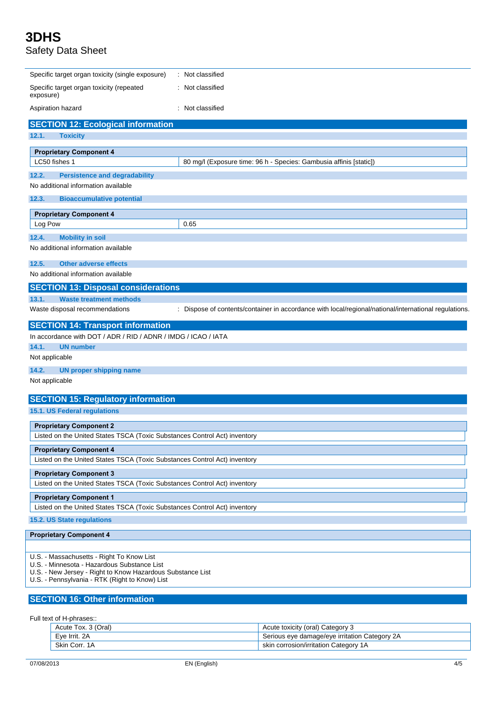| Specific target organ toxicity (single exposure)                                                          | : Not classified                                                                                     |  |
|-----------------------------------------------------------------------------------------------------------|------------------------------------------------------------------------------------------------------|--|
| Specific target organ toxicity (repeated<br>exposure)                                                     | : Not classified                                                                                     |  |
| Aspiration hazard                                                                                         | : Not classified                                                                                     |  |
| <b>SECTION 12: Ecological information</b>                                                                 |                                                                                                      |  |
| 12.1.<br><b>Toxicity</b>                                                                                  |                                                                                                      |  |
| <b>Proprietary Component 4</b>                                                                            |                                                                                                      |  |
| LC50 fishes 1                                                                                             | 80 mg/l (Exposure time: 96 h - Species: Gambusia affinis [static])                                   |  |
| 12.2.<br><b>Persistence and degradability</b>                                                             |                                                                                                      |  |
| No additional information available                                                                       |                                                                                                      |  |
| 12.3.<br><b>Bioaccumulative potential</b>                                                                 |                                                                                                      |  |
| <b>Proprietary Component 4</b>                                                                            |                                                                                                      |  |
| Log Pow                                                                                                   | 0.65                                                                                                 |  |
| 12.4.<br><b>Mobility in soil</b>                                                                          |                                                                                                      |  |
| No additional information available                                                                       |                                                                                                      |  |
| 12.5.<br><b>Other adverse effects</b>                                                                     |                                                                                                      |  |
| No additional information available                                                                       |                                                                                                      |  |
| <b>SECTION 13: Disposal considerations</b>                                                                |                                                                                                      |  |
| 13.1.<br><b>Waste treatment methods</b>                                                                   |                                                                                                      |  |
| Waste disposal recommendations                                                                            | : Dispose of contents/container in accordance with local/regional/national/international regulations |  |
| <b>SECTION 14: Transport information</b>                                                                  |                                                                                                      |  |
| In accordance with DOT / ADR / RID / ADNR / IMDG / ICAO / IATA                                            |                                                                                                      |  |
| 14.1.<br><b>UN number</b>                                                                                 |                                                                                                      |  |
| Not applicable                                                                                            |                                                                                                      |  |
| 14.2.<br><b>UN proper shipping name</b>                                                                   |                                                                                                      |  |
| Not applicable                                                                                            |                                                                                                      |  |
| <b>SECTION 15: Regulatory information</b>                                                                 |                                                                                                      |  |
| 15.1. US Federal regulations                                                                              |                                                                                                      |  |
| <b>Proprietary Component 2</b>                                                                            |                                                                                                      |  |
| Listed on the United States TSCA (Toxic Substances Control Act) inventory                                 |                                                                                                      |  |
| <b>Proprietary Component 4</b>                                                                            |                                                                                                      |  |
| Listed on the United States TSCA (Toxic Substances Control Act) inventory                                 |                                                                                                      |  |
| <b>Proprietary Component 3</b>                                                                            |                                                                                                      |  |
| Listed on the United States TSCA (Toxic Substances Control Act) inventory                                 |                                                                                                      |  |
| <b>Proprietary Component 1</b>                                                                            |                                                                                                      |  |
| Listed on the United States TSCA (Toxic Substances Control Act) inventory                                 |                                                                                                      |  |
| 15.2. US State regulations                                                                                |                                                                                                      |  |
| <b>Proprietary Component 4</b>                                                                            |                                                                                                      |  |
|                                                                                                           |                                                                                                      |  |
| U.S. - Massachusetts - Right To Know List                                                                 |                                                                                                      |  |
| U.S. - Minnesota - Hazardous Substance List<br>U.S. - New Jersey - Right to Know Hazardous Substance List |                                                                                                      |  |
| U.S. - Pennsylvania - RTK (Right to Know) List                                                            |                                                                                                      |  |
| <b>SECTION 16: Other information</b>                                                                      |                                                                                                      |  |
|                                                                                                           |                                                                                                      |  |

Full text of H-phrases::

| Acute Tox. 3 (Oral) | Acute toxicity (oral) Category 3              |
|---------------------|-----------------------------------------------|
| Eve Irrit, 2A       | Serious eye damage/eye irritation Category 2A |
| Skin Corr, 1A       | skin corrosion/irritation Category 1A         |